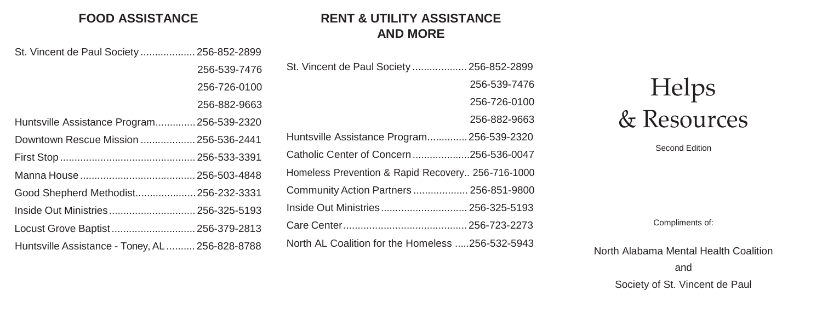### **FOOD ASSISTANCE**

# **RENT & UTILITY ASSISTANCE AND MORE**

| St. Vincent de Paul Society  256-852-2899      |                                                   |
|------------------------------------------------|---------------------------------------------------|
| 256-539-7476                                   | St. Vincent de Paul Society  256-852-2899         |
| 256-726-0100                                   | 256-539-7476                                      |
| 256-882-9663                                   | 256-726-0100                                      |
| Huntsville Assistance Program256-539-2320      | 256-882-9663                                      |
| Downtown Rescue Mission  256-536-2441          | Huntsville Assistance Program 256-539-2320        |
|                                                | Catholic Center of Concern256-536-0047            |
|                                                | Homeless Prevention & Rapid Recovery 256-716-1000 |
| Good Shepherd Methodist256-232-3331            | Community Action Partners  256-851-9800           |
|                                                | Inside Out Ministries 256-325-5193                |
| Locust Grove Baptist 256-379-2813              |                                                   |
| Huntsville Assistance - Toney, AL 256-828-8788 | North AL Coalition for the Homeless 256-532-5943  |

# Helps & Resources

Second Edition

Compliments of:

#### North Alabama Mental Health Coalition

and

Society of St. Vincent de Paul